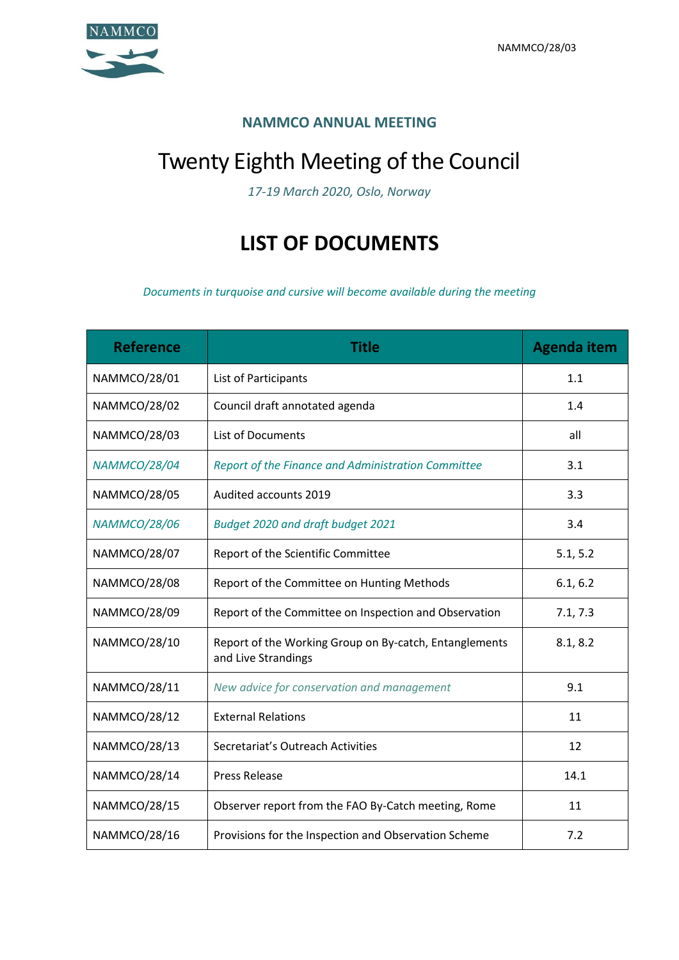

## **NAMMCO ANNUAL MEETING**

## Twenty Eighth Meeting of the Council

*17-19 March 2020, Oslo, Norway*

## **LIST OF DOCUMENTS**

*Documents in turquoise and cursive will become available during the meeting*

| <b>Reference</b>    | <b>Title</b>                                                                  | <b>Agenda item</b> |
|---------------------|-------------------------------------------------------------------------------|--------------------|
| NAMMCO/28/01        | List of Participants                                                          | 1.1                |
| <b>NAMMCO/28/02</b> | Council draft annotated agenda                                                | 1.4                |
| NAMMCO/28/03        | List of Documents                                                             | all                |
| <b>NAMMCO/28/04</b> | Report of the Finance and Administration Committee                            | 3.1                |
| NAMMCO/28/05        | Audited accounts 2019                                                         | 3.3                |
| <b>NAMMCO/28/06</b> | Budget 2020 and draft budget 2021                                             | 3.4                |
| NAMMCO/28/07        | Report of the Scientific Committee                                            | 5.1, 5.2           |
| NAMMCO/28/08        | Report of the Committee on Hunting Methods                                    | 6.1, 6.2           |
| NAMMCO/28/09        | Report of the Committee on Inspection and Observation                         | 7.1, 7.3           |
| NAMMCO/28/10        | Report of the Working Group on By-catch, Entanglements<br>and Live Strandings | 8.1, 8.2           |
| NAMMCO/28/11        | New advice for conservation and management                                    | 9.1                |
| NAMMCO/28/12        | <b>External Relations</b>                                                     | 11                 |
| NAMMCO/28/13        | Secretariat's Outreach Activities                                             | 12                 |
| NAMMCO/28/14        | <b>Press Release</b>                                                          | 14.1               |
| <b>NAMMCO/28/15</b> | Observer report from the FAO By-Catch meeting, Rome                           | 11                 |
| NAMMCO/28/16        | Provisions for the Inspection and Observation Scheme                          | 7.2                |